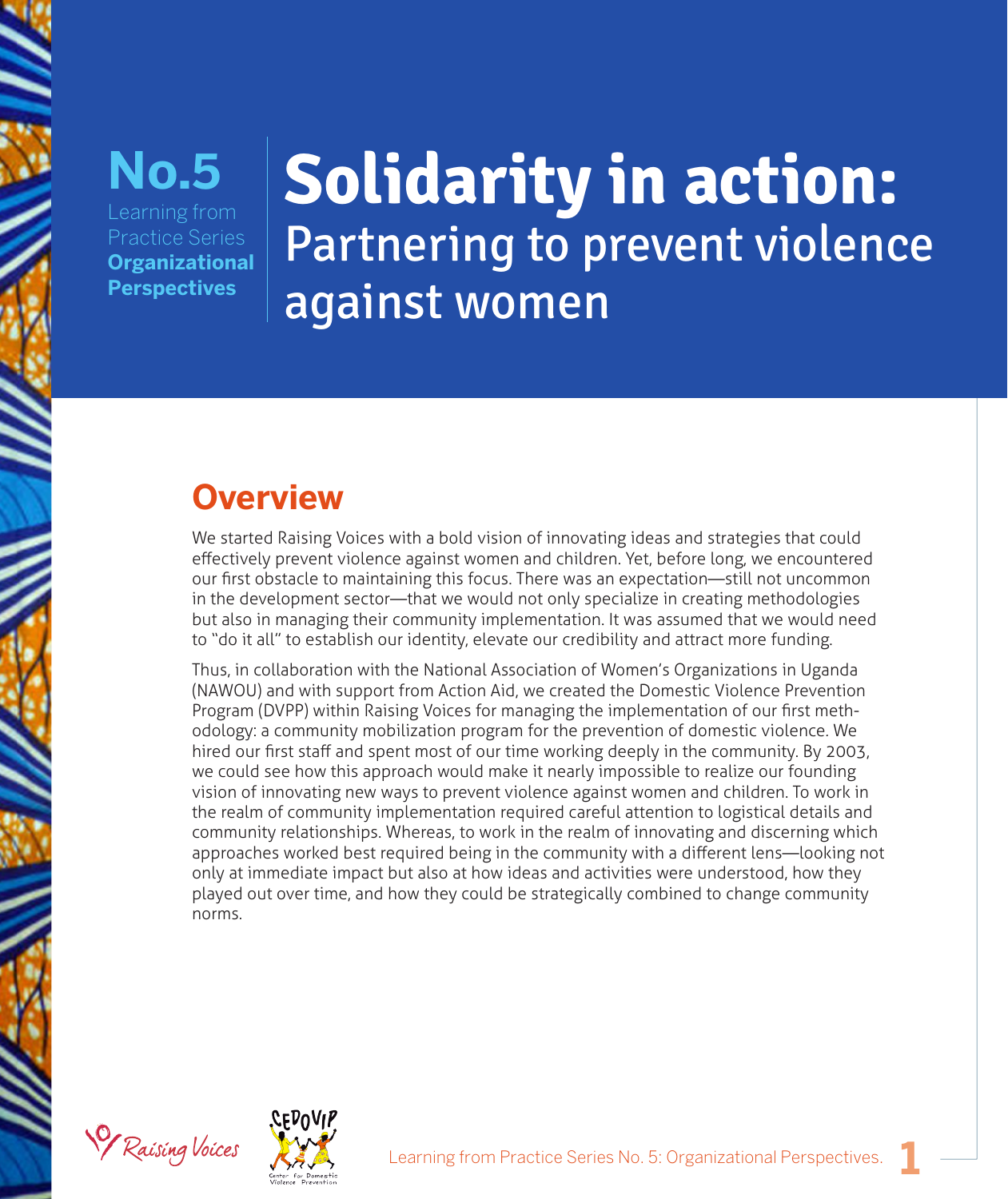

#### Learning from Practice Series **Organizational Perspectives No.5**

# **Solidarity in action:**  Partnering to prevent violence against women

# **Overview**

We started Raising Voices with a bold vision of innovating ideas and strategies that could effectively prevent violence against women and children. Yet, before long, we encountered our first obstacle to maintaining this focus. There was an expectation—still not uncommon in the development sector—that we would not only specialize in creating methodologies but also in managing their community implementation. It was assumed that we would need to "do it all" to establish our identity, elevate our credibility and attract more funding.

Thus, in collaboration with the National Association of Women's Organizations in Uganda (NAWOU) and with support from Action Aid, we created the Domestic Violence Prevention Program (DVPP) within Raising Voices for managing the implementation of our first methodology: a community mobilization program for the prevention of domestic violence*.* We hired our first staff and spent most of our time working deeply in the community. By 2003, we could see how this approach would make it nearly impossible to realize our founding vision of innovating new ways to prevent violence against women and children. To work in the realm of community implementation required careful attention to logistical details and community relationships. Whereas, to work in the realm of innovating and discerning which approaches worked best required being in the community with a different lens—looking not only at immediate impact but also at how ideas and activities were understood, how they played out over time, and how they could be strategically combined to change community norms.



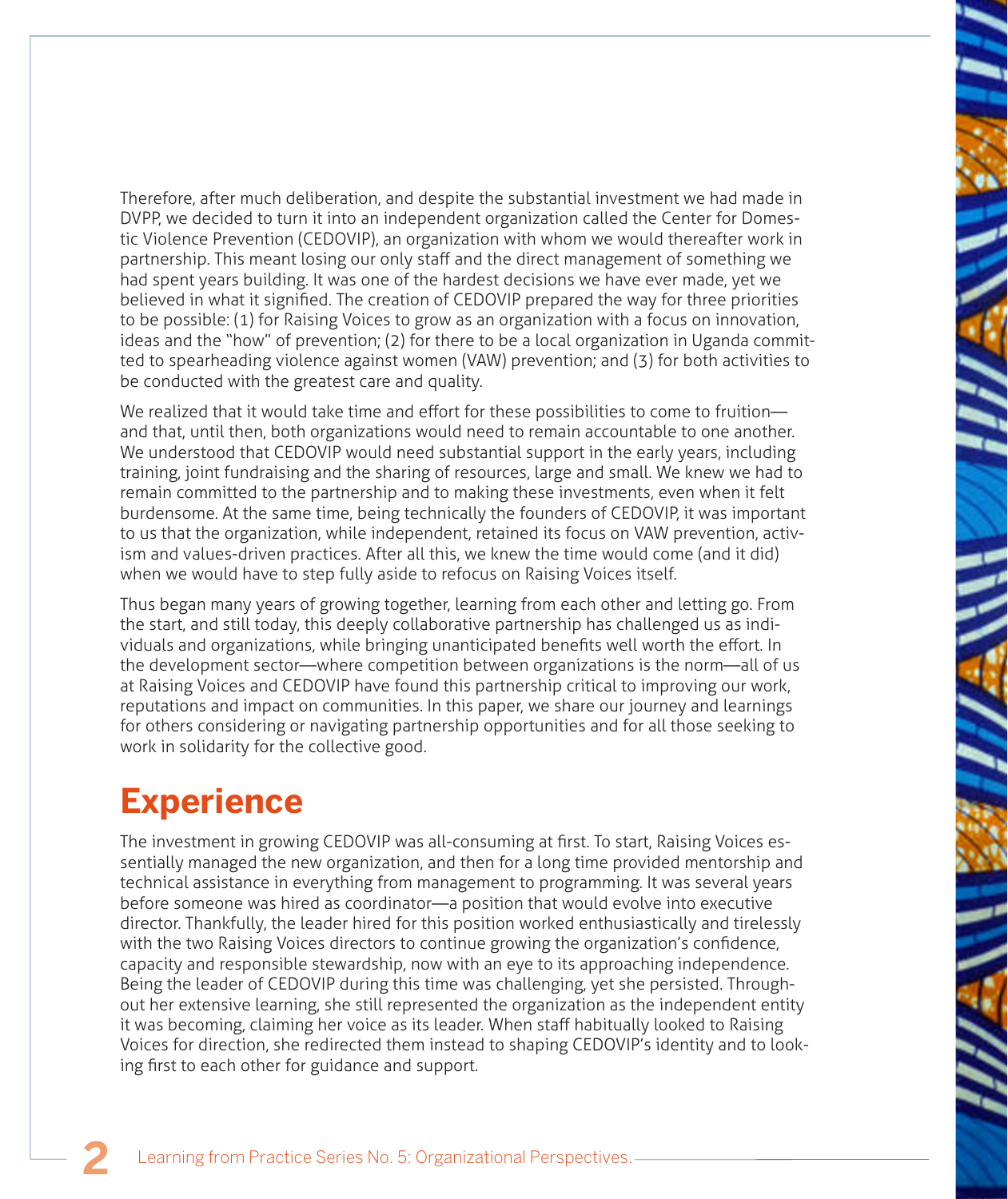Therefore, after much deliberation, and despite the substantial investment we had made in DVPP, we decided to turn it into an independent organization called the Center for Domestic Violence Prevention (CEDOVIP), an organization with whom we would thereafter work in partnership. This meant losing our only staff and the direct management of something we had spent years building. It was one of the hardest decisions we have ever made, yet we believed in what it signified. The creation of CEDOVIP prepared the way for three priorities to be possible: (1) for Raising Voices to grow as an organization with a focus on innovation, ideas and the "how" of prevention; (2) for there to be a local organization in Uganda committed to spearheading violence against women (VAW) prevention; and (3) for both activities to be conducted with the greatest care and quality.

We realized that it would take time and effort for these possibilities to come to fruition and that, until then, both organizations would need to remain accountable to one another. We understood that CEDOVIP would need substantial support in the early years, including training, joint fundraising and the sharing of resources, large and small. We knew we had to remain committed to the partnership and to making these investments, even when it felt burdensome. At the same time, being technically the founders of CEDOVIP, it was important to us that the organization, while independent, retained its focus on VAW prevention, activism and values-driven practices. After all this, we knew the time would come (and it did) when we would have to step fully aside to refocus on Raising Voices itself.

Thus began many years of growing together, learning from each other and letting go. From the start, and still today, this deeply collaborative partnership has challenged us as individuals and organizations, while bringing unanticipated benefits well worth the effort. In the development sector—where competition between organizations is the norm—all of us at Raising Voices and CEDOVIP have found this partnership critical to improving our work, reputations and impact on communities. In this paper, we share our journey and learnings for others considering or navigating partnership opportunities and for all those seeking to work in solidarity for the collective good.

## **Experience**

The investment in growing CEDOVIP was all-consuming at first. To start, Raising Voices essentially managed the new organization, and then for a long time provided mentorship and technical assistance in everything from management to programming. It was several years before someone was hired as coordinator—a position that would evolve into executive director. Thankfully, the leader hired for this position worked enthusiastically and tirelessly with the two Raising Voices directors to continue growing the organization's confidence, capacity and responsible stewardship, now with an eye to its approaching independence. Being the leader of CEDOVIP during this time was challenging, yet she persisted. Throughout her extensive learning, she still represented the organization as the independent entity it was becoming, claiming her voice as its leader. When staff habitually looked to Raising Voices for direction, she redirected them instead to shaping CEDOVIP's identity and to looking first to each other for guidance and support.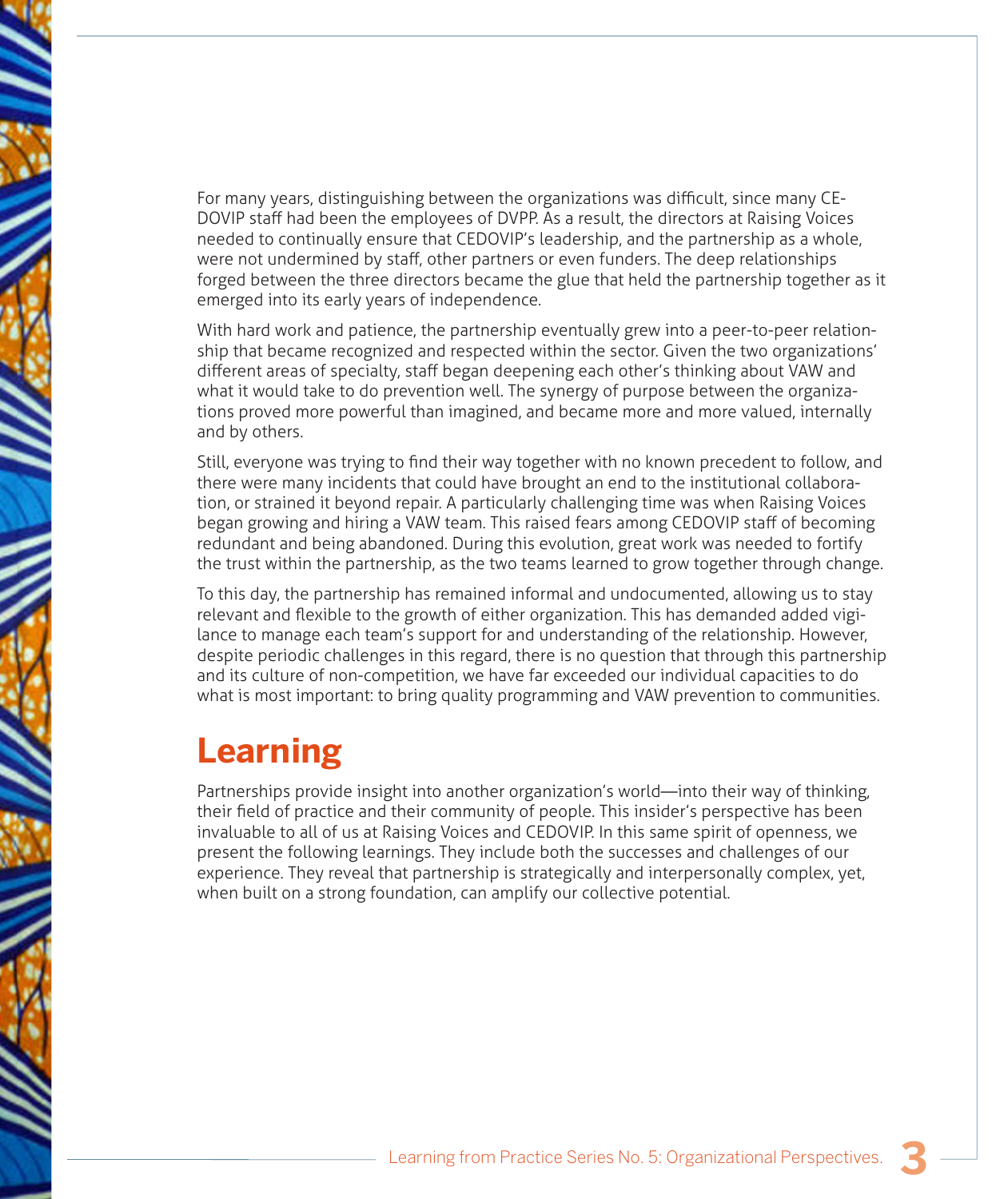For many years, distinguishing between the organizations was difficult, since many CE-DOVIP staff had been the employees of DVPP. As a result, the directors at Raising Voices needed to continually ensure that CEDOVIP's leadership, and the partnership as a whole, were not undermined by staff, other partners or even funders. The deep relationships forged between the three directors became the glue that held the partnership together as it emerged into its early years of independence.

With hard work and patience, the partnership eventually grew into a peer-to-peer relationship that became recognized and respected within the sector. Given the two organizations' different areas of specialty, staff began deepening each other's thinking about VAW and what it would take to do prevention well. The synergy of purpose between the organizations proved more powerful than imagined, and became more and more valued, internally and by others.

Still, everyone was trying to find their way together with no known precedent to follow, and there were many incidents that could have brought an end to the institutional collaboration, or strained it beyond repair. A particularly challenging time was when Raising Voices began growing and hiring a VAW team. This raised fears among CEDOVIP staff of becoming redundant and being abandoned. During this evolution, great work was needed to fortify the trust within the partnership, as the two teams learned to grow together through change.

To this day, the partnership has remained informal and undocumented, allowing us to stay relevant and flexible to the growth of either organization. This has demanded added vigilance to manage each team's support for and understanding of the relationship. However, despite periodic challenges in this regard, there is no question that through this partnership and its culture of non-competition, we have far exceeded our individual capacities to do what is most important: to bring quality programming and VAW prevention to communities.

### **Learning**

Partnerships provide insight into another organization's world—into their way of thinking, their field of practice and their community of people. This insider's perspective has been invaluable to all of us at Raising Voices and CEDOVIP. In this same spirit of openness, we present the following learnings. They include both the successes and challenges of our experience. They reveal that partnership is strategically and interpersonally complex, yet, when built on a strong foundation, can amplify our collective potential.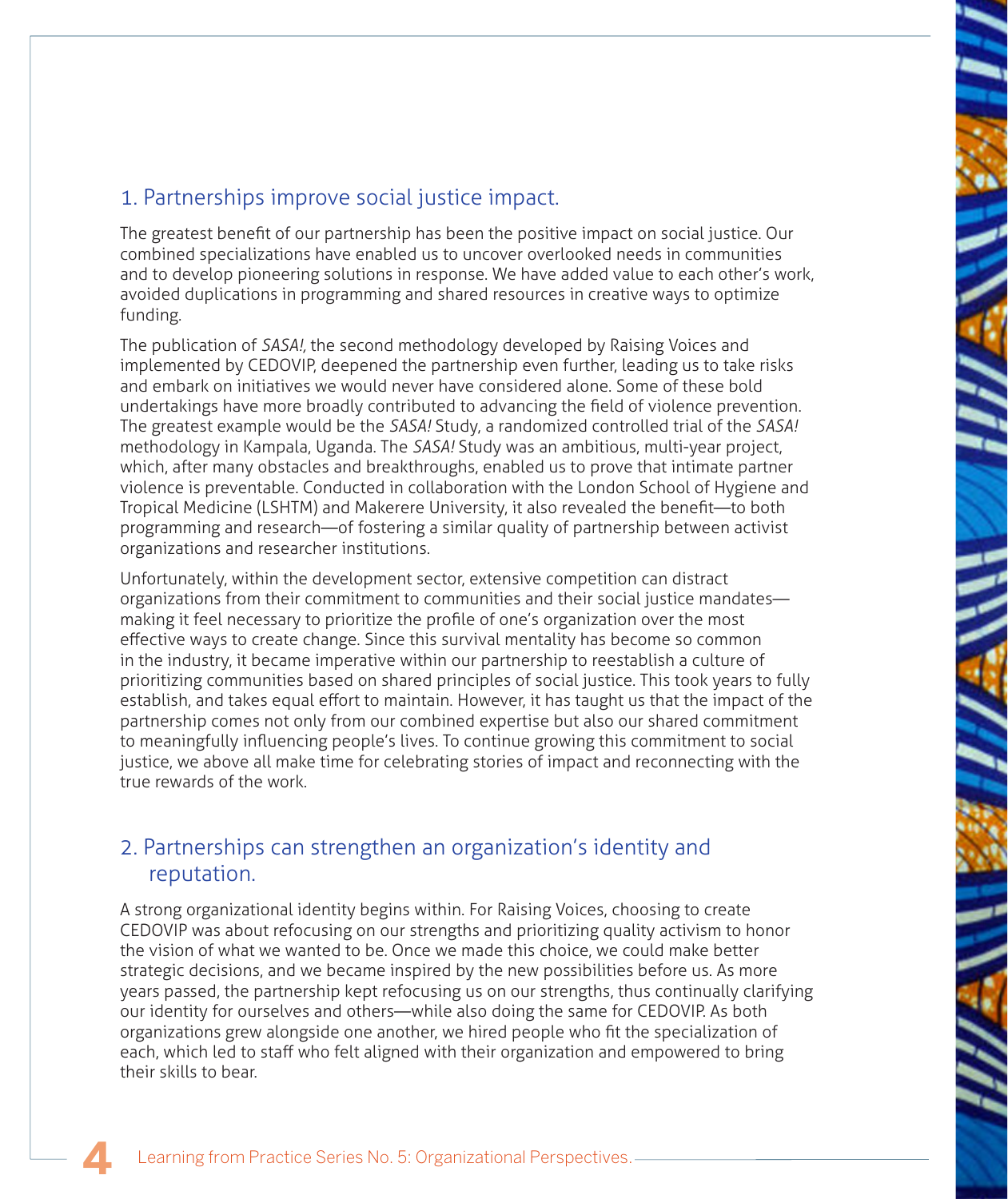#### 1. Partnerships improve social justice impact.

The greatest benefit of our partnership has been the positive impact on social justice. Our combined specializations have enabled us to uncover overlooked needs in communities and to develop pioneering solutions in response. We have added value to each other's work, avoided duplications in programming and shared resources in creative ways to optimize funding.

The publication of *SASA!,* the second methodology developed by Raising Voices and implemented by CEDOVIP, deepened the partnership even further, leading us to take risks and embark on initiatives we would never have considered alone. Some of these bold undertakings have more broadly contributed to advancing the field of violence prevention. The greatest example would be the *SASA!* Study, a randomized controlled trial of the *SASA!*  methodology in Kampala, Uganda. The *SASA!* Study was an ambitious, multi-year project, which, after many obstacles and breakthroughs, enabled us to prove that intimate partner violence is preventable. Conducted in collaboration with the London School of Hygiene and Tropical Medicine (LSHTM) and Makerere University, it also revealed the benefit—to both programming and research—of fostering a similar quality of partnership between activist organizations and researcher institutions.

Unfortunately, within the development sector, extensive competition can distract organizations from their commitment to communities and their social justice mandates making it feel necessary to prioritize the profile of one's organization over the most effective ways to create change. Since this survival mentality has become so common in the industry, it became imperative within our partnership to reestablish a culture of prioritizing communities based on shared principles of social justice. This took years to fully establish, and takes equal effort to maintain. However, it has taught us that the impact of the partnership comes not only from our combined expertise but also our shared commitment to meaningfully influencing people's lives. To continue growing this commitment to social justice, we above all make time for celebrating stories of impact and reconnecting with the true rewards of the work.

#### 2. Partnerships can strengthen an organization's identity and reputation.

A strong organizational identity begins within. For Raising Voices, choosing to create CEDOVIP was about refocusing on our strengths and prioritizing quality activism to honor the vision of what we wanted to be. Once we made this choice, we could make better strategic decisions, and we became inspired by the new possibilities before us. As more years passed, the partnership kept refocusing us on our strengths, thus continually clarifying our identity for ourselves and others—while also doing the same for CEDOVIP. As both organizations grew alongside one another, we hired people who fit the specialization of each, which led to staff who felt aligned with their organization and empowered to bring their skills to bear.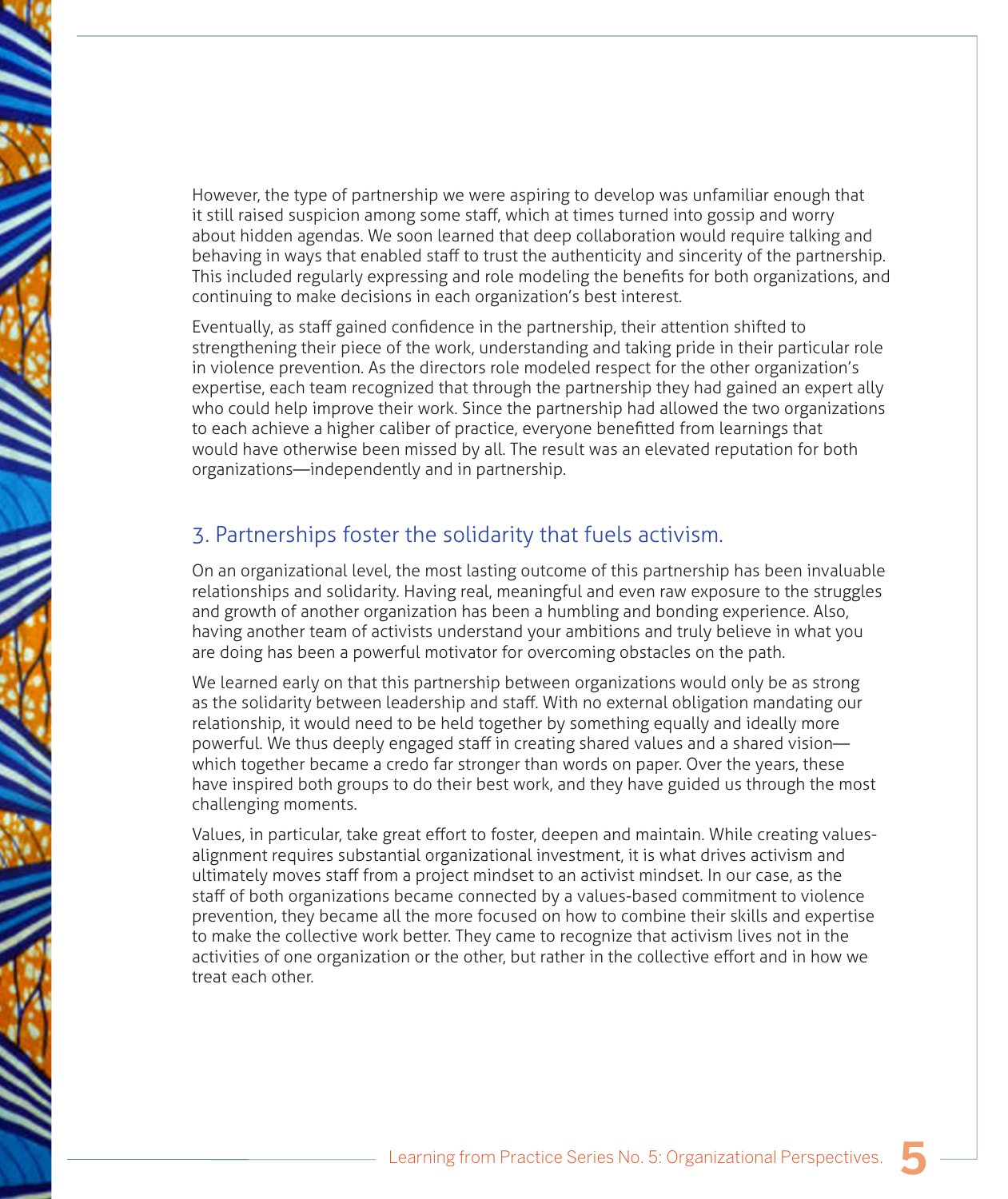However, the type of partnership we were aspiring to develop was unfamiliar enough that it still raised suspicion among some staff, which at times turned into gossip and worry about hidden agendas. We soon learned that deep collaboration would require talking and behaving in ways that enabled staff to trust the authenticity and sincerity of the partnership. This included regularly expressing and role modeling the benefits for both organizations, and continuing to make decisions in each organization's best interest.

Eventually, as staff gained confidence in the partnership, their attention shifted to strengthening their piece of the work, understanding and taking pride in their particular role in violence prevention. As the directors role modeled respect for the other organization's expertise, each team recognized that through the partnership they had gained an expert ally who could help improve their work. Since the partnership had allowed the two organizations to each achieve a higher caliber of practice, everyone benefitted from learnings that would have otherwise been missed by all. The result was an elevated reputation for both organizations—independently and in partnership.

#### 3. Partnerships foster the solidarity that fuels activism.

On an organizational level, the most lasting outcome of this partnership has been invaluable relationships and solidarity. Having real, meaningful and even raw exposure to the struggles and growth of another organization has been a humbling and bonding experience. Also, having another team of activists understand your ambitions and truly believe in what you are doing has been a powerful motivator for overcoming obstacles on the path.

We learned early on that this partnership between organizations would only be as strong as the solidarity between leadership and staff. With no external obligation mandating our relationship, it would need to be held together by something equally and ideally more powerful. We thus deeply engaged staff in creating shared values and a shared vision which together became a credo far stronger than words on paper. Over the years, these have inspired both groups to do their best work, and they have guided us through the most challenging moments.

Values, in particular, take great effort to foster, deepen and maintain. While creating valuesalignment requires substantial organizational investment, it is what drives activism and ultimately moves staff from a project mindset to an activist mindset. In our case, as the staff of both organizations became connected by a values-based commitment to violence prevention, they became all the more focused on how to combine their skills and expertise to make the collective work better. They came to recognize that activism lives not in the activities of one organization or the other, but rather in the collective effort and in how we treat each other.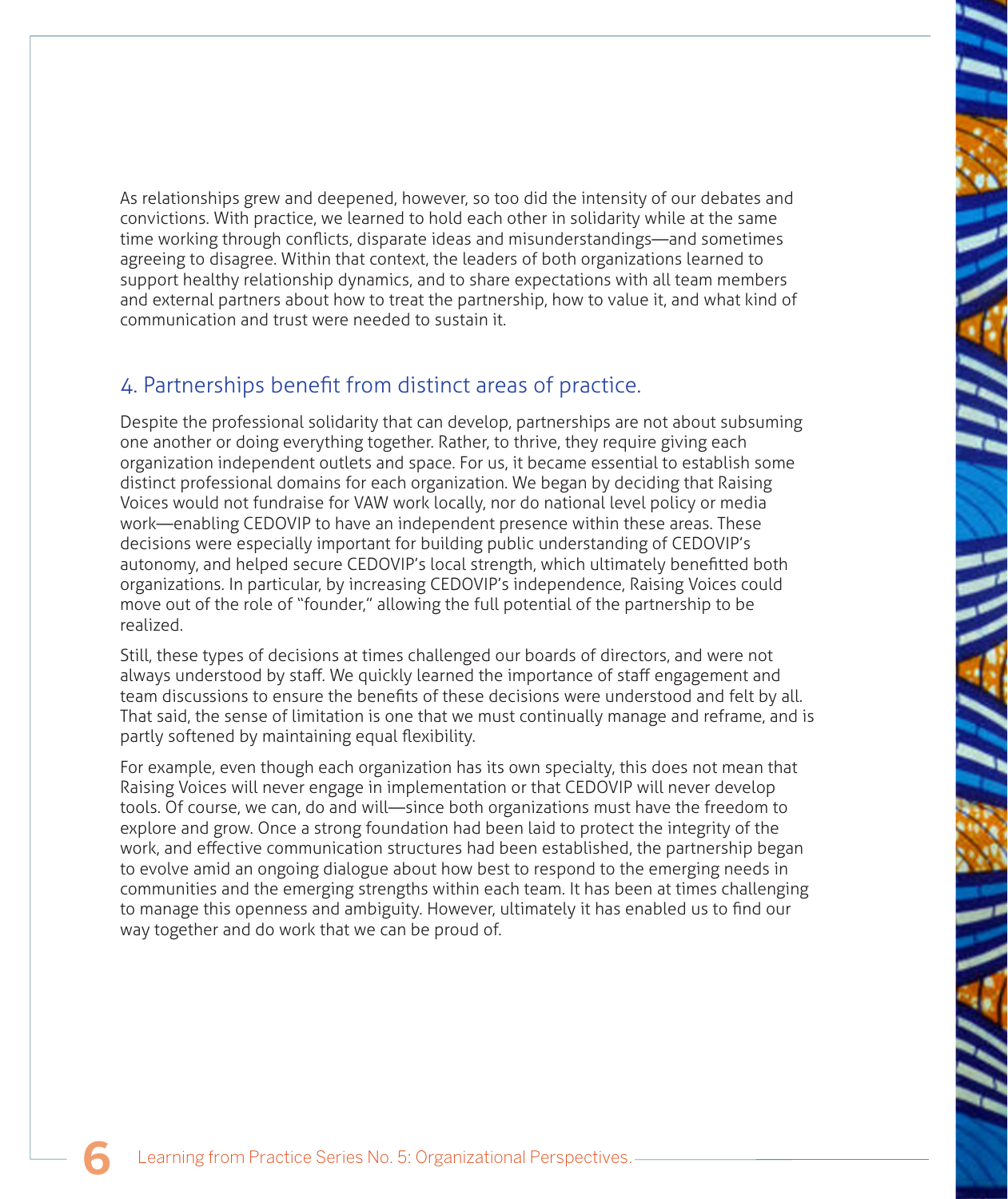As relationships grew and deepened, however, so too did the intensity of our debates and convictions. With practice, we learned to hold each other in solidarity while at the same time working through conflicts, disparate ideas and misunderstandings—and sometimes agreeing to disagree. Within that context, the leaders of both organizations learned to support healthy relationship dynamics, and to share expectations with all team members and external partners about how to treat the partnership, how to value it, and what kind of communication and trust were needed to sustain it.

#### 4. Partnerships benefit from distinct areas of practice.

Despite the professional solidarity that can develop, partnerships are not about subsuming one another or doing everything together. Rather, to thrive, they require giving each organization independent outlets and space. For us, it became essential to establish some distinct professional domains for each organization. We began by deciding that Raising Voices would not fundraise for VAW work locally, nor do national level policy or media work—enabling CEDOVIP to have an independent presence within these areas. These decisions were especially important for building public understanding of CEDOVIP's autonomy, and helped secure CEDOVIP's local strength, which ultimately benefitted both organizations. In particular, by increasing CEDOVIP's independence, Raising Voices could move out of the role of "founder," allowing the full potential of the partnership to be realized.

Still, these types of decisions at times challenged our boards of directors, and were not always understood by staff. We quickly learned the importance of staff engagement and team discussions to ensure the benefits of these decisions were understood and felt by all. That said, the sense of limitation is one that we must continually manage and reframe, and is partly softened by maintaining equal flexibility.

For example, even though each organization has its own specialty, this does not mean that Raising Voices will never engage in implementation or that CEDOVIP will never develop tools. Of course, we can, do and will—since both organizations must have the freedom to explore and grow. Once a strong foundation had been laid to protect the integrity of the work, and effective communication structures had been established, the partnership began to evolve amid an ongoing dialogue about how best to respond to the emerging needs in communities and the emerging strengths within each team. It has been at times challenging to manage this openness and ambiguity. However, ultimately it has enabled us to find our way together and do work that we can be proud of.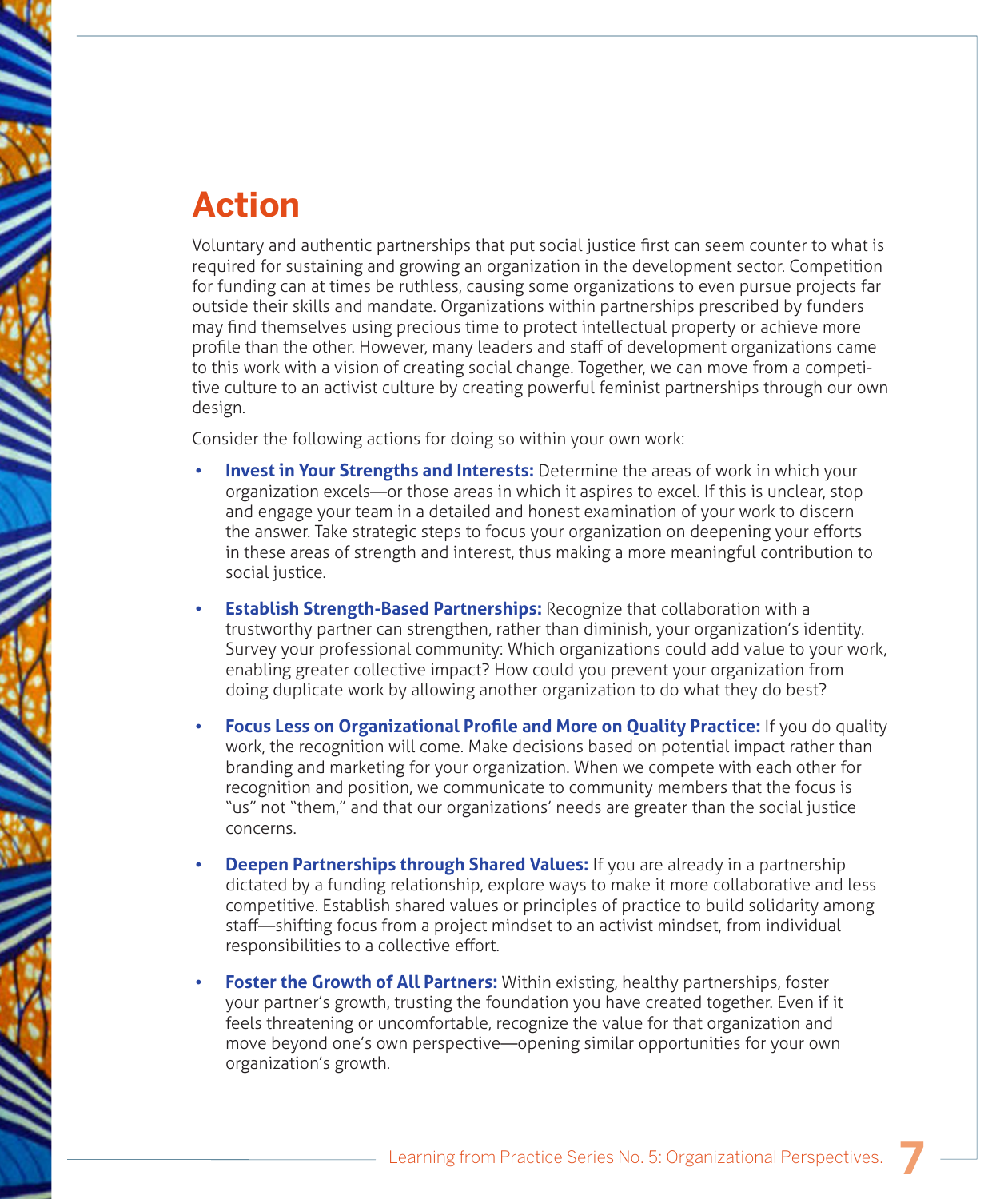# **Action**

Voluntary and authentic partnerships that put social justice first can seem counter to what is required for sustaining and growing an organization in the development sector. Competition for funding can at times be ruthless, causing some organizations to even pursue projects far outside their skills and mandate. Organizations within partnerships prescribed by funders may find themselves using precious time to protect intellectual property or achieve more profile than the other. However, many leaders and staff of development organizations came to this work with a vision of creating social change. Together, we can move from a competitive culture to an activist culture by creating powerful feminist partnerships through our own design.

Consider the following actions for doing so within your own work:

- **Invest in Your Strengths and Interests:** Determine the areas of work in which your organization excels—or those areas in which it aspires to excel. If this is unclear, stop and engage your team in a detailed and honest examination of your work to discern the answer. Take strategic steps to focus your organization on deepening your efforts in these areas of strength and interest, thus making a more meaningful contribution to social justice.
- **Establish Strength-Based Partnerships: Recognize that collaboration with a** trustworthy partner can strengthen, rather than diminish, your organization's identity. Survey your professional community: Which organizations could add value to your work, enabling greater collective impact? How could you prevent your organization from doing duplicate work by allowing another organization to do what they do best?
- **Focus Less on Organizational Profile and More on Ouality Practice: If you do quality** work, the recognition will come. Make decisions based on potential impact rather than branding and marketing for your organization. When we compete with each other for recognition and position, we communicate to community members that the focus is "us" not "them," and that our organizations' needs are greater than the social justice concerns.
- **Deepen Partnerships through Shared Values:** If you are already in a partnership dictated by a funding relationship, explore ways to make it more collaborative and less competitive. Establish shared values or principles of practice to build solidarity among staff—shifting focus from a project mindset to an activist mindset, from individual responsibilities to a collective effort.
- **Foster the Growth of All Partners:** Within existing, healthy partnerships, foster your partner's growth, trusting the foundation you have created together. Even if it feels threatening or uncomfortable, recognize the value for that organization and move beyond one's own perspective—opening similar opportunities for your own organization's growth.